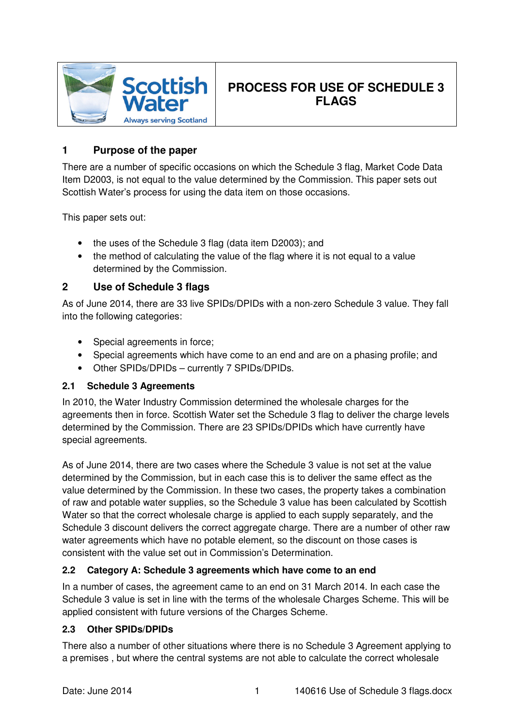

# **PROCESS FOR USE OF SCHEDULE 3 FLAGS**

## **1 Purpose of the paper**

There are a number of specific occasions on which the Schedule 3 flag, Market Code Data Item D2003, is not equal to the value determined by the Commission. This paper sets out Scottish Water's process for using the data item on those occasions.

This paper sets out:

- the uses of the Schedule 3 flag (data item D2003); and
- the method of calculating the value of the flag where it is not equal to a value determined by the Commission.

### **2 Use of Schedule 3 flags**

As of June 2014, there are 33 live SPIDs/DPIDs with a non-zero Schedule 3 value. They fall into the following categories:

- Special agreements in force;
- Special agreements which have come to an end and are on a phasing profile; and
- Other SPIDs/DPIDs currently 7 SPIDs/DPIDs.

#### **2.1 Schedule 3 Agreements**

In 2010, the Water Industry Commission determined the wholesale charges for the agreements then in force. Scottish Water set the Schedule 3 flag to deliver the charge levels determined by the Commission. There are 23 SPIDs/DPIDs which have currently have special agreements.

As of June 2014, there are two cases where the Schedule 3 value is not set at the value determined by the Commission, but in each case this is to deliver the same effect as the value determined by the Commission. In these two cases, the property takes a combination of raw and potable water supplies, so the Schedule 3 value has been calculated by Scottish Water so that the correct wholesale charge is applied to each supply separately, and the Schedule 3 discount delivers the correct aggregate charge. There are a number of other raw water agreements which have no potable element, so the discount on those cases is consistent with the value set out in Commission's Determination.

#### **2.2 Category A: Schedule 3 agreements which have come to an end**

In a number of cases, the agreement came to an end on 31 March 2014. In each case the Schedule 3 value is set in line with the terms of the wholesale Charges Scheme. This will be applied consistent with future versions of the Charges Scheme.

#### **2.3 Other SPIDs/DPIDs**

There also a number of other situations where there is no Schedule 3 Agreement applying to a premises , but where the central systems are not able to calculate the correct wholesale